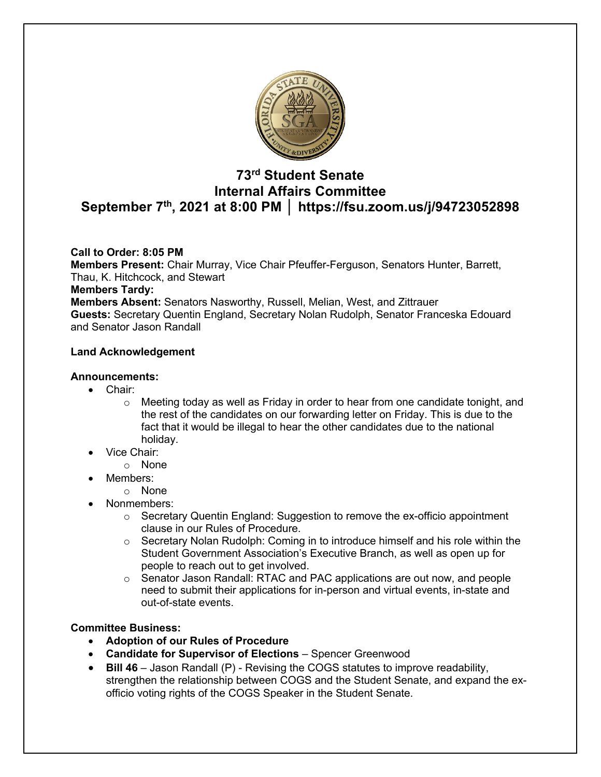

# **73rd Student Senate Internal Affairs Committee September 7th, 2021 at 8:00 PM │ https://fsu.zoom.us/j/94723052898**

# **Call to Order: 8:05 PM**

**Members Present:** Chair Murray, Vice Chair Pfeuffer-Ferguson, Senators Hunter, Barrett, Thau, K. Hitchcock, and Stewart

## **Members Tardy:**

**Members Absent:** Senators Nasworthy, Russell, Melian, West, and Zittrauer **Guests:** Secretary Quentin England, Secretary Nolan Rudolph, Senator Franceska Edouard and Senator Jason Randall

# **Land Acknowledgement**

## **Announcements:**

- Chair:
	- $\circ$  Meeting today as well as Friday in order to hear from one candidate tonight, and the rest of the candidates on our forwarding letter on Friday. This is due to the fact that it would be illegal to hear the other candidates due to the national holiday.
	- Vice Chair:
		- o None
- Members:
	- o None
- Nonmembers:
	- $\circ$  Secretary Quentin England: Suggestion to remove the ex-officio appointment clause in our Rules of Procedure.
	- $\circ$  Secretary Nolan Rudolph: Coming in to introduce himself and his role within the Student Government Association's Executive Branch, as well as open up for people to reach out to get involved.
	- $\circ$  Senator Jason Randall: RTAC and PAC applications are out now, and people need to submit their applications for in-person and virtual events, in-state and out-of-state events.

# **Committee Business:**

- **Adoption of our Rules of Procedure**
- **Candidate for Supervisor of Elections**  Spencer Greenwood
- **Bill 46** Jason Randall (P) Revising the COGS statutes to improve readability, strengthen the relationship between COGS and the Student Senate, and expand the exofficio voting rights of the COGS Speaker in the Student Senate.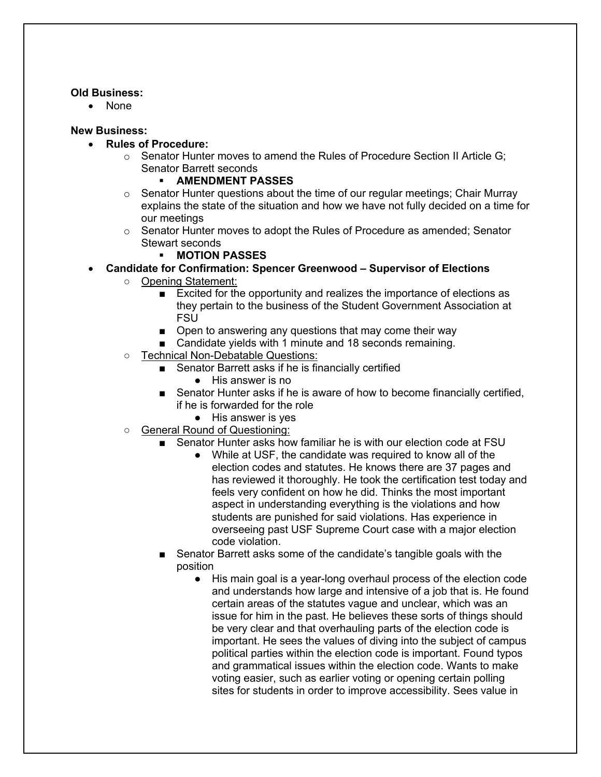## **Old Business:**

• None

# **New Business:**

- **Rules of Procedure:** 
	- $\circ$  Senator Hunter moves to amend the Rules of Procedure Section II Article G; Senator Barrett seconds
		- § **AMENDMENT PASSES**
	- $\circ$  Senator Hunter questions about the time of our regular meetings; Chair Murray explains the state of the situation and how we have not fully decided on a time for our meetings
	- $\circ$  Senator Hunter moves to adopt the Rules of Procedure as amended; Senator Stewart seconds
		- § **MOTION PASSES**
- **Candidate for Confirmation: Spencer Greenwood – Supervisor of Elections**
	- Opening Statement:
		- Excited for the opportunity and realizes the importance of elections as they pertain to the business of the Student Government Association at **FSU**
		- Open to answering any questions that may come their way
		- Candidate yields with 1 minute and 18 seconds remaining.
	- Technical Non-Debatable Questions:
		- Senator Barrett asks if he is financially certified
			- His answer is no
		- Senator Hunter asks if he is aware of how to become financially certified, if he is forwarded for the role
			- His answer is yes
	- General Round of Questioning:
		- Senator Hunter asks how familiar he is with our election code at FSU
			- While at USF, the candidate was required to know all of the election codes and statutes. He knows there are 37 pages and has reviewed it thoroughly. He took the certification test today and feels very confident on how he did. Thinks the most important aspect in understanding everything is the violations and how students are punished for said violations. Has experience in overseeing past USF Supreme Court case with a major election code violation.
		- Senator Barrett asks some of the candidate's tangible goals with the position
			- His main goal is a year-long overhaul process of the election code and understands how large and intensive of a job that is. He found certain areas of the statutes vague and unclear, which was an issue for him in the past. He believes these sorts of things should be very clear and that overhauling parts of the election code is important. He sees the values of diving into the subject of campus political parties within the election code is important. Found typos and grammatical issues within the election code. Wants to make voting easier, such as earlier voting or opening certain polling sites for students in order to improve accessibility. Sees value in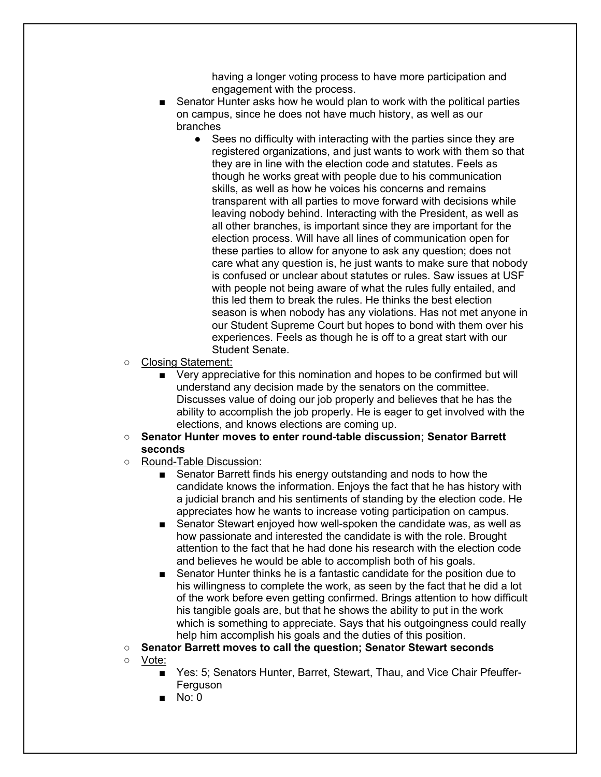having a longer voting process to have more participation and engagement with the process.

- Senator Hunter asks how he would plan to work with the political parties on campus, since he does not have much history, as well as our branches
	- Sees no difficulty with interacting with the parties since they are registered organizations, and just wants to work with them so that they are in line with the election code and statutes. Feels as though he works great with people due to his communication skills, as well as how he voices his concerns and remains transparent with all parties to move forward with decisions while leaving nobody behind. Interacting with the President, as well as all other branches, is important since they are important for the election process. Will have all lines of communication open for these parties to allow for anyone to ask any question; does not care what any question is, he just wants to make sure that nobody is confused or unclear about statutes or rules. Saw issues at USF with people not being aware of what the rules fully entailed, and this led them to break the rules. He thinks the best election season is when nobody has any violations. Has not met anyone in our Student Supreme Court but hopes to bond with them over his experiences. Feels as though he is off to a great start with our Student Senate.
- Closing Statement:
	- Very appreciative for this nomination and hopes to be confirmed but will understand any decision made by the senators on the committee. Discusses value of doing our job properly and believes that he has the ability to accomplish the job properly. He is eager to get involved with the elections, and knows elections are coming up.
- **Senator Hunter moves to enter round-table discussion; Senator Barrett seconds**
- Round-Table Discussion:
	- Senator Barrett finds his energy outstanding and nods to how the candidate knows the information. Enjoys the fact that he has history with a judicial branch and his sentiments of standing by the election code. He appreciates how he wants to increase voting participation on campus.
	- Senator Stewart enjoyed how well-spoken the candidate was, as well as how passionate and interested the candidate is with the role. Brought attention to the fact that he had done his research with the election code and believes he would be able to accomplish both of his goals.
	- Senator Hunter thinks he is a fantastic candidate for the position due to his willingness to complete the work, as seen by the fact that he did a lot of the work before even getting confirmed. Brings attention to how difficult his tangible goals are, but that he shows the ability to put in the work which is something to appreciate. Says that his outgoingness could really help him accomplish his goals and the duties of this position.
- **Senator Barrett moves to call the question; Senator Stewart seconds**
- Vote:
	- Yes: 5; Senators Hunter, Barret, Stewart, Thau, and Vice Chair Pfeuffer-Ferguson
	- No: 0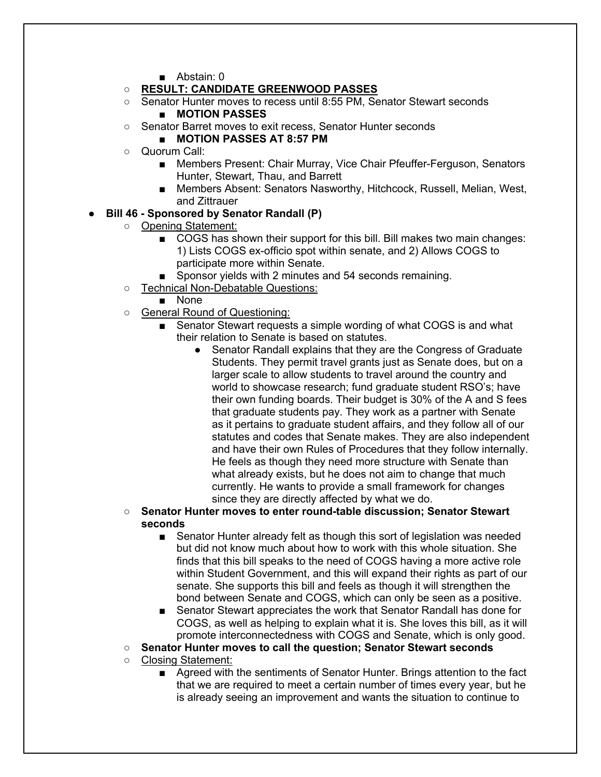- Abstain: 0
- **RESULT: CANDIDATE GREENWOOD PASSES**
- Senator Hunter moves to recess until 8:55 PM, Senator Stewart seconds ■ **MOTION PASSES**
- Senator Barret moves to exit recess, Senator Hunter seconds
	- **MOTION PASSES AT 8:57 PM**
- Quorum Call:
	- Members Present: Chair Murray, Vice Chair Pfeuffer-Ferguson, Senators Hunter, Stewart, Thau, and Barrett
	- Members Absent: Senators Nasworthy, Hitchcock, Russell, Melian, West, and Zittrauer
- **Bill 46 - Sponsored by Senator Randall (P)**
	- Opening Statement:
		- COGS has shown their support for this bill. Bill makes two main changes: 1) Lists COGS ex-officio spot within senate, and 2) Allows COGS to participate more within Senate.
		- Sponsor yields with 2 minutes and 54 seconds remaining.
		- Technical Non-Debatable Questions:
			- None
		- General Round of Questioning:
			- Senator Stewart requests a simple wording of what COGS is and what their relation to Senate is based on statutes.
				- Senator Randall explains that they are the Congress of Graduate Students. They permit travel grants just as Senate does, but on a larger scale to allow students to travel around the country and world to showcase research; fund graduate student RSO's; have their own funding boards. Their budget is 30% of the A and S fees that graduate students pay. They work as a partner with Senate as it pertains to graduate student affairs, and they follow all of our statutes and codes that Senate makes. They are also independent and have their own Rules of Procedures that they follow internally. He feels as though they need more structure with Senate than what already exists, but he does not aim to change that much currently. He wants to provide a small framework for changes since they are directly affected by what we do.
		- **Senator Hunter moves to enter round-table discussion; Senator Stewart seconds**
			- Senator Hunter already felt as though this sort of legislation was needed but did not know much about how to work with this whole situation. She finds that this bill speaks to the need of COGS having a more active role within Student Government, and this will expand their rights as part of our senate. She supports this bill and feels as though it will strengthen the bond between Senate and COGS, which can only be seen as a positive.
			- Senator Stewart appreciates the work that Senator Randall has done for COGS, as well as helping to explain what it is. She loves this bill, as it will promote interconnectedness with COGS and Senate, which is only good.
		- **Senator Hunter moves to call the question; Senator Stewart seconds**
		- Closing Statement:
			- Agreed with the sentiments of Senator Hunter. Brings attention to the fact that we are required to meet a certain number of times every year, but he is already seeing an improvement and wants the situation to continue to